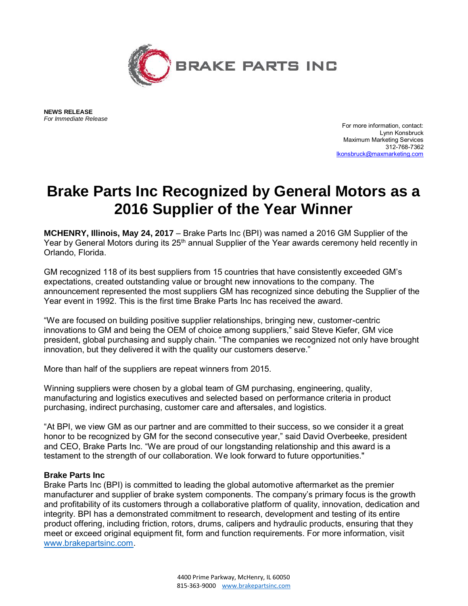

 **NEWS RELEASE**   *For Immediate Release* 

 For more information, contact: Lynn Konsbruck Maximum Marketing Services 312-768-7362 [lkonsbruck@maxmarketing.com](mailto:lkonsbruck@maxmarketing.com) 

## **Brake Parts Inc Recognized by General Motors as a 2016 Supplier of the Year Winner**

 **MCHENRY, Illinois, May 24, 2017** – Brake Parts Inc (BPI) was named a 2016 GM Supplier of the Year by General Motors during its 25<sup>th</sup> annual Supplier of the Year awards ceremony held recently in Orlando, Florida.

 GM recognized 118 of its best suppliers from 15 countries that have consistently exceeded GM's expectations, created outstanding value or brought new innovations to the company. The announcement represented the most suppliers GM has recognized since debuting the Supplier of the Year event in 1992. This is the first time Brake Parts Inc has received the award.

 "We are focused on building positive supplier relationships, bringing new, customer-centric innovations to GM and being the OEM of choice among suppliers," said Steve Kiefer, GM vice president, global purchasing and supply chain. "The companies we recognized not only have brought innovation, but they delivered it with the quality our customers deserve."

More than half of the suppliers are repeat winners from 2015.

 Winning suppliers were chosen by a global team of GM purchasing, engineering, quality, manufacturing and logistics executives and selected based on performance criteria in product purchasing, indirect purchasing, customer care and aftersales, and logistics.

 "At BPI, we view GM as our partner and are committed to their success, so we consider it a great honor to be recognized by GM for the second consecutive year," said David Overbeeke, president and CEO, Brake Parts Inc. "We are proud of our longstanding relationship and this award is a testament to the strength of our collaboration. We look forward to future opportunities."

## **Brake Parts Inc**

 Brake Parts Inc (BPI) is committed to leading the global automotive aftermarket as the premier manufacturer and supplier of brake system components. The company's primary focus is the growth and profitability of its customers through a collaborative platform of quality, innovation, dedication and integrity. BPI has a demonstrated commitment to research, development and testing of its entire product offering, including friction, rotors, drums, calipers and hydraulic products, ensuring that they meet or exceed original equipment fit, form and function requirements. For more information, visit [www.brakepartsinc.com.](http://www.brakepartsinc.com/)